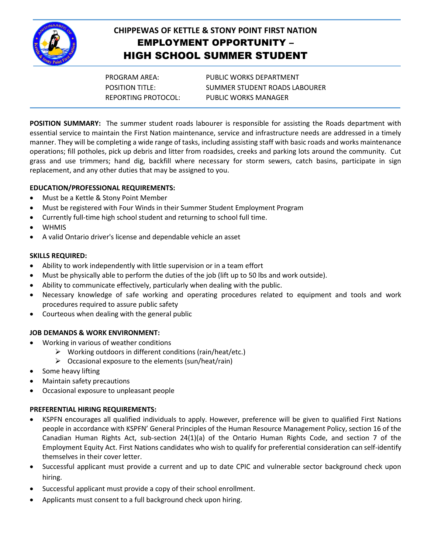

# **CHIPPEWAS OF KETTLE & STONY POINT FIRST NATION** EMPLOYMENT OPPORTUNITY – HIGH SCHOOL SUMMER STUDENT

PROGRAM AREA: PUBLIC WORKS DEPARTMENT POSITION TITLE: SUMMER STUDENT ROADS LABOURER REPORTING PROTOCOL: PUBLIC WORKS MANAGER

**POSITION SUMMARY:** The summer student roads labourer is responsible for assisting the Roads department with essential service to maintain the First Nation maintenance, service and infrastructure needs are addressed in a timely manner. They will be completing a wide range of tasks, including assisting staff with basic roads and works maintenance operations; fill potholes, pick up debris and litter from roadsides, creeks and parking lots around the community. Cut grass and use trimmers; hand dig, backfill where necessary for storm sewers, catch basins, participate in sign replacement, and any other duties that may be assigned to you.

# **EDUCATION/PROFESSIONAL REQUIREMENTS:**

- Must be a Kettle & Stony Point Member
- Must be registered with Four Winds in their Summer Student Employment Program
- Currently full-time high school student and returning to school full time.
- WHMIS
- A valid Ontario driver's license and dependable vehicle an asset

#### **SKILLS REQUIRED:**

- Ability to work independently with little supervision or in a team effort
- Must be physically able to perform the duties of the job (lift up to 50 lbs and work outside).
- Ability to communicate effectively, particularly when dealing with the public.
- Necessary knowledge of safe working and operating procedures related to equipment and tools and work procedures required to assure public safety
- Courteous when dealing with the general public

#### **JOB DEMANDS & WORK ENVIRONMENT:**

- Working in various of weather conditions
	- $\triangleright$  Working outdoors in different conditions (rain/heat/etc.)
	- $\triangleright$  Occasional exposure to the elements (sun/heat/rain)
- Some heavy lifting
- Maintain safety precautions
- Occasional exposure to unpleasant people

# **PREFERENTIAL HIRING REQUIREMENTS:**

- KSPFN encourages all qualified individuals to apply. However, preference will be given to qualified First Nations people in accordance with KSPFN' General Principles of the Human Resource Management Policy, section 16 of the Canadian Human Rights Act, sub-section 24(1)(a) of the Ontario Human Rights Code, and section 7 of the Employment Equity Act. First Nations candidates who wish to qualify for preferential consideration can self-identify themselves in their cover letter.
- Successful applicant must provide a current and up to date CPIC and vulnerable sector background check upon hiring.
- Successful applicant must provide a copy of their school enrollment.
- Applicants must consent to a full background check upon hiring.